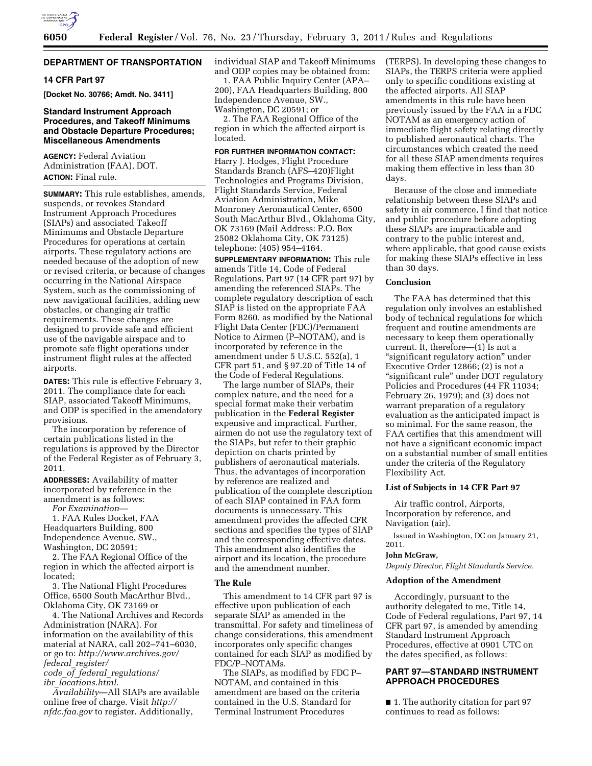

# **DEPARTMENT OF TRANSPORTATION**

### **14 CFR Part 97**

**[Docket No. 30766; Amdt. No. 3411]** 

# **Standard Instrument Approach Procedures, and Takeoff Minimums and Obstacle Departure Procedures; Miscellaneous Amendments**

**AGENCY:** Federal Aviation Administration (FAA), DOT. **ACTION:** Final rule.

**SUMMARY:** This rule establishes, amends, suspends, or revokes Standard Instrument Approach Procedures (SIAPs) and associated Takeoff Minimums and Obstacle Departure Procedures for operations at certain airports. These regulatory actions are needed because of the adoption of new or revised criteria, or because of changes occurring in the National Airspace System, such as the commissioning of new navigational facilities, adding new obstacles, or changing air traffic requirements. These changes are designed to provide safe and efficient use of the navigable airspace and to promote safe flight operations under instrument flight rules at the affected airports.

**DATES:** This rule is effective February 3, 2011. The compliance date for each SIAP, associated Takeoff Minimums, and ODP is specified in the amendatory provisions.

The incorporation by reference of certain publications listed in the regulations is approved by the Director of the Federal Register as of February 3, 2011.

**ADDRESSES:** Availability of matter incorporated by reference in the amendment is as follows:

*For Examination*—

1. FAA Rules Docket, FAA Headquarters Building, 800 Independence Avenue, SW., Washington, DC 20591;

2. The FAA Regional Office of the region in which the affected airport is located;

3. The National Flight Procedures Office, 6500 South MacArthur Blvd., Oklahoma City, OK 73169 or

4. The National Archives and Records Administration (NARA). For information on the availability of this material at NARA, call 202–741–6030, or go to: *[http://www.archives.gov/](http://www.archives.gov/federal_register/code_of_federal_regulations/ibr_locations.html)  federal*\_*register/ code*\_*of*\_*federal*\_*regulations/* 

*ibr*\_*[locations.html.](http://www.archives.gov/federal_register/code_of_federal_regulations/ibr_locations.html)* 

*Availability*—All SIAPs are available online free of charge. Visit *[http://](http://nfdc.faa.gov)  [nfdc.faa.gov](http://nfdc.faa.gov)* to register. Additionally,

individual SIAP and Takeoff Minimums and ODP copies may be obtained from:

1. FAA Public Inquiry Center (APA– 200), FAA Headquarters Building, 800 Independence Avenue, SW., Washington, DC 20591; or

2. The FAA Regional Office of the region in which the affected airport is located.

# **FOR FURTHER INFORMATION CONTACT:**

Harry J. Hodges, Flight Procedure Standards Branch (AFS–420)Flight Technologies and Programs Division, Flight Standards Service, Federal Aviation Administration, Mike Monroney Aeronautical Center, 6500 South MacArthur Blvd., Oklahoma City, OK 73169 (Mail Address: P.O. Box 25082 Oklahoma City, OK 73125) telephone: (405) 954–4164.

**SUPPLEMENTARY INFORMATION:** This rule amends Title 14, Code of Federal Regulations, Part 97 (14 CFR part 97) by amending the referenced SIAPs. The complete regulatory description of each SIAP is listed on the appropriate FAA Form 8260, as modified by the National Flight Data Center (FDC)/Permanent Notice to Airmen (P–NOTAM), and is incorporated by reference in the amendment under 5 U.S.C. 552(a), 1 CFR part 51, and § 97.20 of Title 14 of the Code of Federal Regulations.

The large number of SIAPs, their complex nature, and the need for a special format make their verbatim publication in the **Federal Register**  expensive and impractical. Further, airmen do not use the regulatory text of the SIAPs, but refer to their graphic depiction on charts printed by publishers of aeronautical materials. Thus, the advantages of incorporation by reference are realized and publication of the complete description of each SIAP contained in FAA form documents is unnecessary. This amendment provides the affected CFR sections and specifies the types of SIAP and the corresponding effective dates. This amendment also identifies the airport and its location, the procedure and the amendment number.

### **The Rule**

This amendment to 14 CFR part 97 is effective upon publication of each separate SIAP as amended in the transmittal. For safety and timeliness of change considerations, this amendment incorporates only specific changes contained for each SIAP as modified by FDC/P–NOTAMs.

The SIAPs, as modified by FDC P– NOTAM, and contained in this amendment are based on the criteria contained in the U.S. Standard for Terminal Instrument Procedures

(TERPS). In developing these changes to SIAPs, the TERPS criteria were applied only to specific conditions existing at the affected airports. All SIAP amendments in this rule have been previously issued by the FAA in a FDC NOTAM as an emergency action of immediate flight safety relating directly to published aeronautical charts. The circumstances which created the need for all these SIAP amendments requires making them effective in less than 30 days.

Because of the close and immediate relationship between these SIAPs and safety in air commerce, I find that notice and public procedure before adopting these SIAPs are impracticable and contrary to the public interest and, where applicable, that good cause exists for making these SIAPs effective in less than 30 days.

# **Conclusion**

The FAA has determined that this regulation only involves an established body of technical regulations for which frequent and routine amendments are necessary to keep them operationally current. It, therefore—(1) Is not a ''significant regulatory action'' under Executive Order 12866; (2) is not a ''significant rule'' under DOT regulatory Policies and Procedures (44 FR 11034; February 26, 1979); and (3) does not warrant preparation of a regulatory evaluation as the anticipated impact is so minimal. For the same reason, the FAA certifies that this amendment will not have a significant economic impact on a substantial number of small entities under the criteria of the Regulatory Flexibility Act.

### **List of Subjects in 14 CFR Part 97**

Air traffic control, Airports, Incorporation by reference, and Navigation (air).

Issued in Washington, DC on January 21, 2011.

#### **John McGraw,**

*Deputy Director, Flight Standards Service.* 

#### **Adoption of the Amendment**

Accordingly, pursuant to the authority delegated to me, Title 14, Code of Federal regulations, Part 97, 14 CFR part 97, is amended by amending Standard Instrument Approach Procedures, effective at 0901 UTC on the dates specified, as follows:

# **PART 97—STANDARD INSTRUMENT APPROACH PROCEDURES**

■ 1. The authority citation for part 97 continues to read as follows: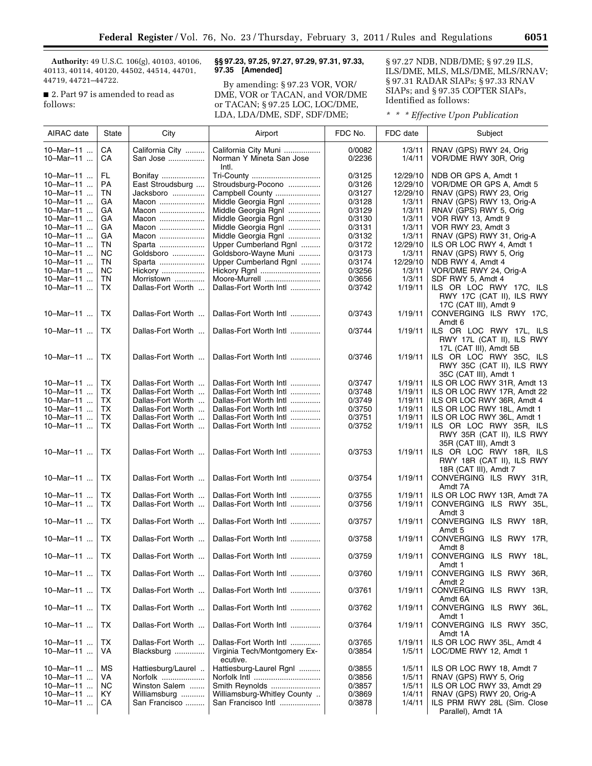**Authority:** 49 U.S.C. 106(g), 40103, 40106, 40113, 40114, 40120, 44502, 44514, 44701, 44719, 44721–44722.

■ 2. Part 97 is amended to read as follows:

# **§§ 97.23, 97.25, 97.27, 97.29, 97.31, 97.33, 97.35 [Amended]**

By amending: § 97.23 VOR, VOR/ DME, VOR or TACAN, and VOR/DME or TACAN; § 97.25 LOC, LOC/DME, LDA, LDA/DME, SDF, SDF/DME;

§ 97.27 NDB, NDB/DME; § 97.29 ILS, ILS/DME, MLS, MLS/DME, MLS/RNAV; § 97.31 RADAR SIAPs; § 97.33 RNAV SIAPs; and § 97.35 COPTER SIAPs, Identified as follows:

*\* \* \* Effective Upon Publication* 

| AIRAC date             | State            | City                                   | Airport                                                            | FDC No.          | FDC date           | Subject                                                                        |
|------------------------|------------------|----------------------------------------|--------------------------------------------------------------------|------------------|--------------------|--------------------------------------------------------------------------------|
| 10-Mar-11<br>10-Mar-11 | CA<br>СA         | California City<br>San Jose            | California City Muni<br>Norman Y Mineta San Jose<br>Intl.          | 0/0082<br>0/2236 | 1/3/11<br>1/4/11   | RNAV (GPS) RWY 24, Orig<br>VOR/DME RWY 30R, Orig                               |
| 10-Mar-11              | FL               | Bonifay                                | Tri-County                                                         | 0/3125           | 12/29/10           | NDB OR GPS A, Amdt 1                                                           |
| 10-Mar-11              | <b>PA</b>        | East Stroudsburg                       | Stroudsburg-Pocono                                                 | 0/3126           | 12/29/10           | VOR/DME OR GPS A, Amdt 5                                                       |
| 10-Mar-11              | TN               | Jacksboro                              | Campbell County                                                    | 0/3127           | 12/29/10           | RNAV (GPS) RWY 23, Orig                                                        |
| 10-Mar-11              | GA               | Macon                                  | Middle Georgia Rgnl                                                | 0/3128           | 1/3/11             | RNAV (GPS) RWY 13, Orig-A                                                      |
| 10-Mar-11              | GA               | Macon                                  | Middle Georgia Rgnl                                                | 0/3129           | 1/3/11             | RNAV (GPS) RWY 5, Orig                                                         |
| 10-Mar-11              | GA               | Macon                                  | Middle Georgia Rgnl                                                | 0/3130           | 1/3/11             | VOR RWY 13, Amdt 9                                                             |
| 10-Mar-11              | GA               | Macon                                  | Middle Georgia Rgnl                                                | 0/3131           | 1/3/11             | VOR RWY 23, Amdt 3                                                             |
| 10-Mar-11              | GA               | Macon                                  | Middle Georgia Rgnl                                                | 0/3132           | 1/3/11             | RNAV (GPS) RWY 31, Orig-A                                                      |
| 10-Mar-11              | TN               | Sparta                                 | Upper Cumberland Rgnl                                              | 0/3172           | 12/29/10           | ILS OR LOC RWY 4, Amdt 1                                                       |
| 10-Mar-11              | <b>NC</b>        | Goldsboro                              | Goldsboro-Wayne Muni                                               | 0/3173           | 1/3/11             | RNAV (GPS) RWY 5, Orig                                                         |
| 10-Mar-11              | TN               | Sparta                                 | Upper Cumberland Rgnl                                              | 0/3174           | 12/29/10           | NDB RWY 4, Amdt 4                                                              |
| 10-Mar-11              | ΝC               | Hickory                                | Hickory Rgnl                                                       | 0/3256           | 1/3/11             | VOR/DME RWY 24, Orig-A                                                         |
| 10-Mar-11              | TN               | Morristown                             | Moore-Murrell                                                      | 0/3656           | 1/3/11             | SDF RWY 5, Amdt 4                                                              |
| 10-Mar-11              | TX.              | Dallas-Fort Worth                      | Dallas-Fort Worth Intl                                             | 0/3742           | 1/19/11            | ILS OR LOC RWY 17C, ILS                                                        |
|                        |                  |                                        |                                                                    |                  |                    | RWY 17C (CAT II), ILS RWY                                                      |
|                        |                  |                                        |                                                                    |                  |                    | 17C (CAT III), Amdt 9                                                          |
| 10-Mar-11              | TX.              | Dallas-Fort Worth                      | Dallas-Fort Worth Intl                                             | 0/3743           | 1/19/11            | CONVERGING ILS RWY 17C,                                                        |
|                        |                  |                                        |                                                                    |                  |                    | Amdt 6                                                                         |
| 10-Mar-11              | TX.              | Dallas-Fort Worth                      | Dallas-Fort Worth Intl                                             | 0/3744           | 1/19/11            | ILS OR LOC RWY 17L, ILS<br>RWY 17L (CAT II), ILS RWY<br>17L (CAT III), Amdt 5B |
| 10-Mar-11              | ТX               | Dallas-Fort Worth                      | Dallas-Fort Worth Intl                                             | 0/3746           | 1/19/11            | ILS OR LOC RWY 35C, ILS<br>RWY 35C (CAT II), ILS RWY                           |
|                        |                  |                                        |                                                                    |                  |                    | 35C (CAT III), Amdt 1                                                          |
| 10-Mar-11              | ТX               | Dallas-Fort Worth                      | Dallas-Fort Worth Intl                                             | 0/3747           | 1/19/11            | ILS OR LOC RWY 31R, Amdt 13                                                    |
| 10-Mar-11              | <b>TX</b>        | Dallas-Fort Worth                      | Dallas-Fort Worth Intl                                             | 0/3748           | 1/19/11            | ILS OR LOC RWY 17R, Amdt 22                                                    |
| 10-Mar-11<br>10-Mar-11 | TX.<br><b>TX</b> | Dallas-Fort Worth<br>Dallas-Fort Worth | Dallas-Fort Worth Intl                                             | 0/3749           | 1/19/11            | ILS OR LOC RWY 36R, Amdt 4                                                     |
| 10-Mar-11              | <b>TX</b>        | Dallas-Fort Worth                      | Dallas-Fort Worth Intl<br>Dallas-Fort Worth Intl                   | 0/3750<br>0/3751 | 1/19/11<br>1/19/11 | ILS OR LOC RWY 18L, Amdt 1<br>ILS OR LOC RWY 36L, Amdt 1                       |
| 10-Mar-11              | TX.              | Dallas-Fort Worth                      | Dallas-Fort Worth Intl                                             | 0/3752           | 1/19/11            | ILS OR LOC RWY 35R, ILS                                                        |
|                        |                  |                                        |                                                                    |                  |                    | RWY 35R (CAT II), ILS RWY<br>35R (CAT III), Amdt 3                             |
| 10-Mar-11              | TX.              | Dallas-Fort Worth                      | Dallas-Fort Worth Intl                                             | 0/3753           | 1/19/11            | ILS OR LOC RWY 18R, ILS<br>RWY 18R (CAT II), ILS RWY<br>18R (CAT III), Amdt 7  |
| 10-Mar-11              | TX.              | Dallas-Fort Worth                      | Dallas-Fort Worth Intl                                             | 0/3754           | 1/19/11            | CONVERGING ILS RWY 31R,<br>Amdt 7A                                             |
| 10-Mar-11              | TX               | Dallas-Fort Worth                      | Dallas-Fort Worth Intl                                             | 0/3755           | 1/19/11            | ILS OR LOC RWY 13R, Amdt 7A                                                    |
| 10-Mar-11              | TX               | Dallas-Fort Worth                      | Dallas-Fort Worth Intl                                             | 0/3756           | 1/19/11            | CONVERGING ILS RWY 35L,<br>Amdt 3                                              |
| 10-Mar-11              | TX.              | Dallas-Fort Worth                      | Dallas-Fort Worth Intl                                             | 0/3757           | 1/19/11            | CONVERGING ILS RWY 18R,<br>Amdt 5                                              |
| 10-Mar-11              | TX.              | Dallas-Fort Worth                      | Dallas-Fort Worth Intl                                             | 0/3758           | 1/19/11            | CONVERGING ILS RWY 17R,<br>Amdt 8                                              |
| 10-Mar-11              | ТX               | Dallas-Fort Worth                      | Dallas-Fort Worth Intl                                             | 0/3759           | 1/19/11            | CONVERGING ILS RWY 18L,<br>Amdt 1                                              |
| 10-Mar-11              | TX               | Dallas-Fort Worth                      | Dallas-Fort Worth Intl                                             | 0/3760           | 1/19/11            | CONVERGING ILS RWY 36R,<br>Amdt 2                                              |
| 10-Mar-11              | TX               | Dallas-Fort Worth                      | Dallas-Fort Worth Intl                                             | 0/3761           | 1/19/11            | CONVERGING ILS RWY 13R,<br>Amdt 6A                                             |
| 10-Mar-11              | TX               | Dallas-Fort Worth                      | Dallas-Fort Worth Intl                                             | 0/3762           | 1/19/11            | CONVERGING ILS RWY 36L,<br>Amdt 1                                              |
| 10-Mar-11              | TX               | Dallas-Fort Worth                      | Dallas-Fort Worth Intl                                             | 0/3764           | 1/19/11            | CONVERGING ILS RWY 35C,<br>Amdt 1A                                             |
| 10-Mar-11<br>10-Mar-11 | TX<br>VA         | Dallas-Fort Worth<br>Blacksburg        | Dallas-Fort Worth Intl<br>Virginia Tech/Montgomery Ex-<br>ecutive. | 0/3765<br>0/3854 | 1/19/11<br>1/5/11  | ILS OR LOC RWY 35L, Amdt 4<br>LOC/DME RWY 12, Amdt 1                           |
| 10-Mar-11              | МS               | Hattiesburg/Laurel                     | Hattiesburg-Laurel Rgnl                                            | 0/3855           | 1/5/11             | ILS OR LOC RWY 18, Amdt 7                                                      |
| 10-Mar-11              | VA               | Norfolk                                | Norfolk Intl                                                       | 0/3856           | 1/5/11             | RNAV (GPS) RWY 5, Orig                                                         |
| 10-Mar-11              | <b>NC</b>        | Winston Salem                          | Smith Reynolds                                                     | 0/3857           | 1/5/11             | ILS OR LOC RWY 33, Amdt 29                                                     |
| 10-Mar-11              | KY.              | Williamsburg                           | Williamsburg-Whitley County                                        | 0/3869           | 1/4/11             | RNAV (GPS) RWY 20, Orig-A                                                      |
| 10-Mar-11              | CA               | San Francisco                          | San Francisco Intl                                                 | 0/3878           | 1/4/11             | ILS PRM RWY 28L (Sim. Close<br>Parallel), Amdt 1A                              |